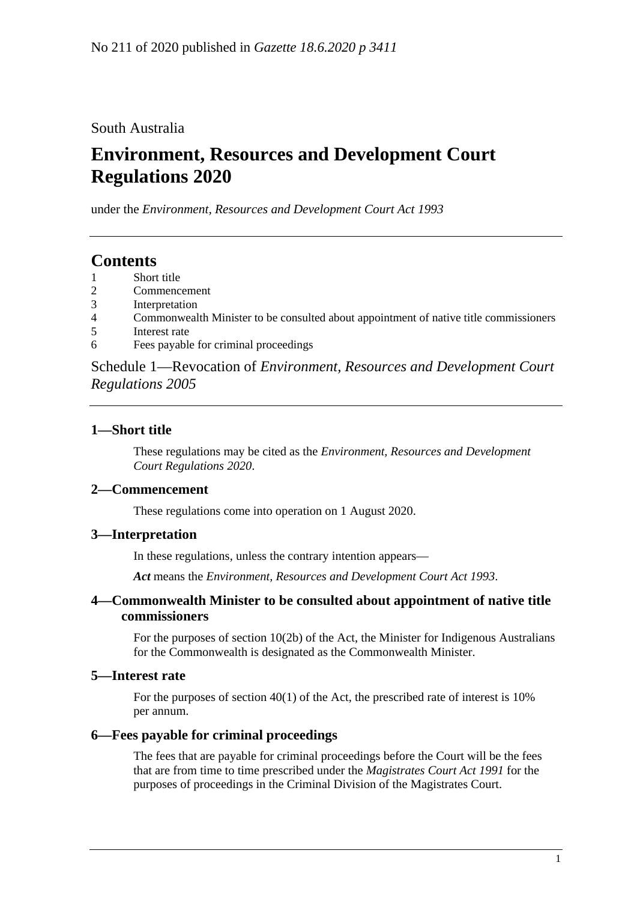South Australia

# **Environment, Resources and Development Court Regulations 2020**

under the *Environment, Resources and Development Court Act 1993*

# **Contents**

- 1 [Short title](#page-0-0)
- 2 [Commencement](#page-0-1)
- 3 [Interpretation](#page-0-2)
- 4 [Commonwealth Minister to be consulted about appointment of native title commissioners](#page-0-3)
- 5 [Interest rate](#page-0-4)
- 6 [Fees payable for criminal proceedings](#page-0-5)

Schedule 1—Revocation of *[Environment, Resources and Development Court](#page-1-0)  [Regulations](#page-1-0) 2005*

# <span id="page-0-0"></span>**1—Short title**

These regulations may be cited as the *Environment, Resources and Development Court Regulations 2020*.

# <span id="page-0-1"></span>**2—Commencement**

These regulations come into operation on 1 August 2020.

# <span id="page-0-2"></span>**3—Interpretation**

In these regulations, unless the contrary intention appears—

*Act* means the *[Environment, Resources and Development Court Act](http://www.legislation.sa.gov.au/index.aspx?action=legref&type=act&legtitle=Environment%20Resources%20and%20Development%20Court%20Act%201993) 1993*.

#### <span id="page-0-3"></span>**4—Commonwealth Minister to be consulted about appointment of native title commissioners**

For the purposes of section 10(2b) of the Act, the Minister for Indigenous Australians for the Commonwealth is designated as the Commonwealth Minister.

#### <span id="page-0-4"></span>**5—Interest rate**

For the purposes of section 40(1) of the Act, the prescribed rate of interest is 10% per annum.

#### <span id="page-0-5"></span>**6—Fees payable for criminal proceedings**

The fees that are payable for criminal proceedings before the Court will be the fees that are from time to time prescribed under the *[Magistrates Court Act](http://www.legislation.sa.gov.au/index.aspx?action=legref&type=act&legtitle=Magistrates%20Court%20Act%201991) 1991* for the purposes of proceedings in the Criminal Division of the Magistrates Court.